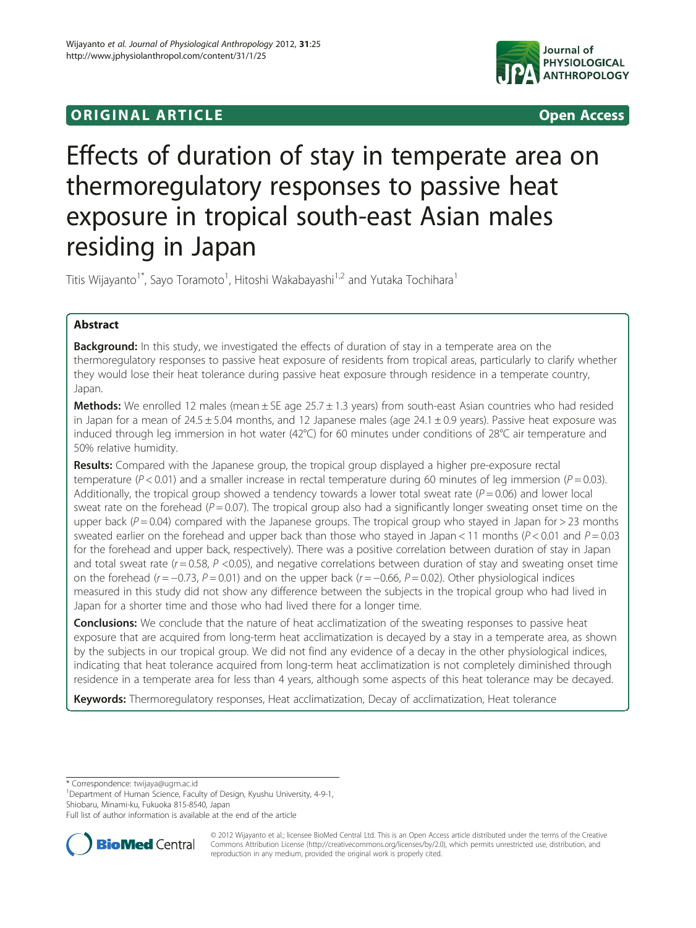## **ORIGINAL ARTICLE CONSUMING A LIGACION** CONSUMING A LIGACION CONSUMING A LIGACION CONSUMING A LIGACION CONSUMING A LIGACION CONSUMING A LIGACION CONSUMING A LIGACION CONSUMING A LIGACION CONSUMING A LIGACION CONSUMING A



# Effects of duration of stay in temperate area on thermoregulatory responses to passive heat exposure in tropical south-east Asian males residing in Japan

Titis Wijayanto<sup>1\*</sup>, Sayo Toramoto<sup>1</sup>, Hitoshi Wakabayashi<sup>1,2</sup> and Yutaka Tochihara<sup>1</sup>

## Abstract

**Background:** In this study, we investigated the effects of duration of stay in a temperate area on the thermoregulatory responses to passive heat exposure of residents from tropical areas, particularly to clarify whether they would lose their heat tolerance during passive heat exposure through residence in a temperate country, Japan.

**Methods:** We enrolled 12 males (mean  $\pm$  SE age 25.7  $\pm$  1.3 years) from south-east Asian countries who had resided in Japan for a mean of  $24.5 \pm 5.04$  months, and 12 Japanese males (age  $24.1 \pm 0.9$  years). Passive heat exposure was induced through leg immersion in hot water (42°C) for 60 minutes under conditions of 28°C air temperature and 50% relative humidity.

Results: Compared with the Japanese group, the tropical group displayed a higher pre-exposure rectal temperature ( $P < 0.01$ ) and a smaller increase in rectal temperature during 60 minutes of leg immersion ( $P = 0.03$ ). Additionally, the tropical group showed a tendency towards a lower total sweat rate ( $P = 0.06$ ) and lower local sweat rate on the forehead ( $P = 0.07$ ). The tropical group also had a significantly longer sweating onset time on the upper back ( $P = 0.04$ ) compared with the Japanese groups. The tropical group who stayed in Japan for > 23 months sweated earlier on the forehead and upper back than those who stayed in Japan < 11 months ( $P$  < 0.01 and  $P$  = 0.03 for the forehead and upper back, respectively). There was a positive correlation between duration of stay in Japan and total sweat rate ( $r = 0.58$ ,  $P < 0.05$ ), and negative correlations between duration of stay and sweating onset time on the forehead ( $r = -0.73$ ,  $P = 0.01$ ) and on the upper back ( $r = -0.66$ ,  $P = 0.02$ ). Other physiological indices measured in this study did not show any difference between the subjects in the tropical group who had lived in Japan for a shorter time and those who had lived there for a longer time.

**Conclusions:** We conclude that the nature of heat acclimatization of the sweating responses to passive heat exposure that are acquired from long-term heat acclimatization is decayed by a stay in a temperate area, as shown by the subjects in our tropical group. We did not find any evidence of a decay in the other physiological indices, indicating that heat tolerance acquired from long-term heat acclimatization is not completely diminished through residence in a temperate area for less than 4 years, although some aspects of this heat tolerance may be decayed.

Keywords: Thermoregulatory responses, Heat acclimatization, Decay of acclimatization, Heat tolerance

\* Correspondence: [twijaya@ugm.ac.id](mailto:twijaya@ugm.ac.id) <sup>1</sup>

<sup>1</sup>Department of Human Science, Faculty of Design, Kyushu University, 4-9-1, Shiobaru, Minami-ku, Fukuoka 815-8540, Japan

Full list of author information is available at the end of the article



© 2012 Wijayanto et al.; licensee BioMed Central Ltd. This is an Open Access article distributed under the terms of the Creative Commons Attribution License [\(http://creativecommons.org/licenses/by/2.0\)](http://creativecommons.org/licenses/by/2.0), which permits unrestricted use, distribution, and reproduction in any medium, provided the original work is properly cited.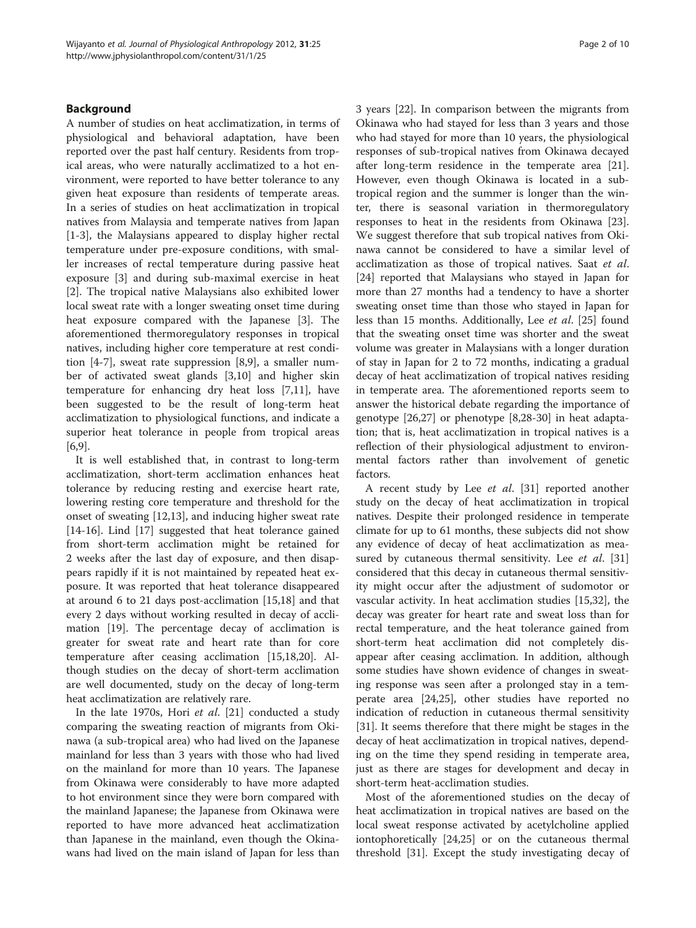## Background

A number of studies on heat acclimatization, in terms of physiological and behavioral adaptation, have been reported over the past half century. Residents from tropical areas, who were naturally acclimatized to a hot environment, were reported to have better tolerance to any given heat exposure than residents of temperate areas. In a series of studies on heat acclimatization in tropical natives from Malaysia and temperate natives from Japan [[1-3](#page-8-0)], the Malaysians appeared to display higher rectal temperature under pre-exposure conditions, with smaller increases of rectal temperature during passive heat exposure [\[3](#page-8-0)] and during sub-maximal exercise in heat [[2\]](#page-8-0). The tropical native Malaysians also exhibited lower local sweat rate with a longer sweating onset time during heat exposure compared with the Japanese [[3\]](#page-8-0). The aforementioned thermoregulatory responses in tropical natives, including higher core temperature at rest condition [\[4](#page-8-0)-[7\]](#page-8-0), sweat rate suppression [[8,9\]](#page-8-0), a smaller number of activated sweat glands [\[3,10](#page-8-0)] and higher skin temperature for enhancing dry heat loss [\[7,11\]](#page-8-0), have been suggested to be the result of long-term heat acclimatization to physiological functions, and indicate a superior heat tolerance in people from tropical areas [[6,9\]](#page-8-0).

It is well established that, in contrast to long-term acclimatization, short-term acclimation enhances heat tolerance by reducing resting and exercise heart rate, lowering resting core temperature and threshold for the onset of sweating [[12,13\]](#page-8-0), and inducing higher sweat rate [[14-](#page-8-0)[16](#page-9-0)]. Lind [[17\]](#page-9-0) suggested that heat tolerance gained from short-term acclimation might be retained for 2 weeks after the last day of exposure, and then disappears rapidly if it is not maintained by repeated heat exposure. It was reported that heat tolerance disappeared at around 6 to 21 days post-acclimation [[15,18\]](#page-9-0) and that every 2 days without working resulted in decay of acclimation [[19\]](#page-9-0). The percentage decay of acclimation is greater for sweat rate and heart rate than for core temperature after ceasing acclimation [[15,18,20](#page-9-0)]. Although studies on the decay of short-term acclimation are well documented, study on the decay of long-term heat acclimatization are relatively rare.

In the late 1970s, Hori *et al.* [[21\]](#page-9-0) conducted a study comparing the sweating reaction of migrants from Okinawa (a sub-tropical area) who had lived on the Japanese mainland for less than 3 years with those who had lived on the mainland for more than 10 years. The Japanese from Okinawa were considerably to have more adapted to hot environment since they were born compared with the mainland Japanese; the Japanese from Okinawa were reported to have more advanced heat acclimatization than Japanese in the mainland, even though the Okinawans had lived on the main island of Japan for less than 3 years [\[22](#page-9-0)]. In comparison between the migrants from Okinawa who had stayed for less than 3 years and those who had stayed for more than 10 years, the physiological responses of sub-tropical natives from Okinawa decayed after long-term residence in the temperate area [\[21](#page-9-0)]. However, even though Okinawa is located in a subtropical region and the summer is longer than the winter, there is seasonal variation in thermoregulatory responses to heat in the residents from Okinawa [\[23](#page-9-0)]. We suggest therefore that sub tropical natives from Okinawa cannot be considered to have a similar level of acclimatization as those of tropical natives. Saat et al. [[24\]](#page-9-0) reported that Malaysians who stayed in Japan for more than 27 months had a tendency to have a shorter sweating onset time than those who stayed in Japan for less than 15 months. Additionally, Lee et al. [[25\]](#page-9-0) found that the sweating onset time was shorter and the sweat volume was greater in Malaysians with a longer duration of stay in Japan for 2 to 72 months, indicating a gradual decay of heat acclimatization of tropical natives residing in temperate area. The aforementioned reports seem to answer the historical debate regarding the importance of genotype [\[26,27](#page-9-0)] or phenotype [[8,](#page-8-0)[28-30\]](#page-9-0) in heat adaptation; that is, heat acclimatization in tropical natives is a reflection of their physiological adjustment to environmental factors rather than involvement of genetic factors.

A recent study by Lee et al. [[31](#page-9-0)] reported another study on the decay of heat acclimatization in tropical natives. Despite their prolonged residence in temperate climate for up to 61 months, these subjects did not show any evidence of decay of heat acclimatization as mea-sured by cutaneous thermal sensitivity. Lee et al. [[31](#page-9-0)] considered that this decay in cutaneous thermal sensitivity might occur after the adjustment of sudomotor or vascular activity. In heat acclimation studies [\[15,32\]](#page-9-0), the decay was greater for heart rate and sweat loss than for rectal temperature, and the heat tolerance gained from short-term heat acclimation did not completely disappear after ceasing acclimation. In addition, although some studies have shown evidence of changes in sweating response was seen after a prolonged stay in a temperate area [[24](#page-9-0),[25](#page-9-0)], other studies have reported no indication of reduction in cutaneous thermal sensitivity [[31\]](#page-9-0). It seems therefore that there might be stages in the decay of heat acclimatization in tropical natives, depending on the time they spend residing in temperate area, just as there are stages for development and decay in short-term heat-acclimation studies.

Most of the aforementioned studies on the decay of heat acclimatization in tropical natives are based on the local sweat response activated by acetylcholine applied iontophoretically [\[24,25\]](#page-9-0) or on the cutaneous thermal threshold [\[31\]](#page-9-0). Except the study investigating decay of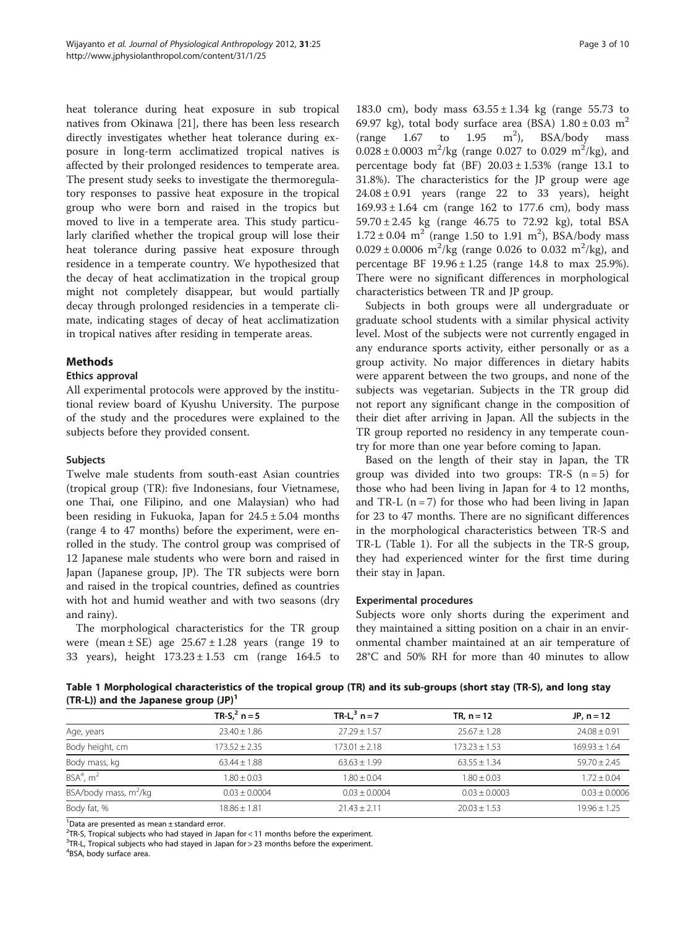heat tolerance during heat exposure in sub tropical natives from Okinawa [[21\]](#page-9-0), there has been less research directly investigates whether heat tolerance during exposure in long-term acclimatized tropical natives is affected by their prolonged residences to temperate area. The present study seeks to investigate the thermoregulatory responses to passive heat exposure in the tropical group who were born and raised in the tropics but moved to live in a temperate area. This study particularly clarified whether the tropical group will lose their heat tolerance during passive heat exposure through residence in a temperate country. We hypothesized that the decay of heat acclimatization in the tropical group might not completely disappear, but would partially decay through prolonged residencies in a temperate climate, indicating stages of decay of heat acclimatization in tropical natives after residing in temperate areas.

## Methods

## Ethics approval

All experimental protocols were approved by the institutional review board of Kyushu University. The purpose of the study and the procedures were explained to the subjects before they provided consent.

## Subjects

Twelve male students from south-east Asian countries (tropical group (TR): five Indonesians, four Vietnamese, one Thai, one Filipino, and one Malaysian) who had been residing in Fukuoka, Japan for  $24.5 \pm 5.04$  months (range 4 to 47 months) before the experiment, were enrolled in the study. The control group was comprised of 12 Japanese male students who were born and raised in Japan (Japanese group, JP). The TR subjects were born and raised in the tropical countries, defined as countries with hot and humid weather and with two seasons (dry and rainy).

The morphological characteristics for the TR group were (mean  $\pm$  SE) age 25.67  $\pm$  1.28 years (range 19 to 33 years), height  $173.23 \pm 1.53$  cm (range 164.5 to

183.0 cm), body mass  $63.55 \pm 1.34$  kg (range 55.73 to 69.97 kg), total body surface area (BSA)  $1.80 \pm 0.03$  m<sup>2</sup> (range 1.67 to 1.95 m<sup>2</sup>), ), BSA/body mass  $0.028 \pm 0.0003$  m<sup>2</sup>/kg (range 0.027 to 0.029 m<sup>2</sup>/kg), and percentage body fat (BF)  $20.03 \pm 1.53\%$  (range 13.1 to 31.8%). The characteristics for the JP group were age  $24.08 \pm 0.91$  years (range 22 to 33 years), height  $169.93 \pm 1.64$  cm (range 162 to 177.6 cm), body mass  $59.70 \pm 2.45$  kg (range 46.75 to 72.92 kg), total BSA  $1.72 \pm 0.04$  m<sup>2</sup> (range 1.50 to 1.91 m<sup>2</sup>), BSA/body mass  $0.029 \pm 0.0006$  m<sup>2</sup>/kg (range 0.026 to 0.032 m<sup>2</sup>/kg), and percentage BF  $19.96 \pm 1.25$  (range 14.8 to max 25.9%). There were no significant differences in morphological characteristics between TR and JP group.

Subjects in both groups were all undergraduate or graduate school students with a similar physical activity level. Most of the subjects were not currently engaged in any endurance sports activity, either personally or as a group activity. No major differences in dietary habits were apparent between the two groups, and none of the subjects was vegetarian. Subjects in the TR group did not report any significant change in the composition of their diet after arriving in Japan. All the subjects in the TR group reported no residency in any temperate country for more than one year before coming to Japan.

Based on the length of their stay in Japan, the TR group was divided into two groups: TR-S  $(n = 5)$  for those who had been living in Japan for 4 to 12 months, and TR-L  $(n = 7)$  for those who had been living in Japan for 23 to 47 months. There are no significant differences in the morphological characteristics between TR-S and TR-L (Table 1). For all the subjects in the TR-S group, they had experienced winter for the first time during their stay in Japan.

#### Experimental procedures

Subjects wore only shorts during the experiment and they maintained a sitting position on a chair in an environmental chamber maintained at an air temperature of 28°C and 50% RH for more than 40 minutes to allow

Table 1 Morphological characteristics of the tropical group (TR) and its sub-groups (short stay (TR-S), and long stay (TR-L)) and the Japanese group  $(DP)^1$ 

|                                   | TR-S $^{2}$ n = 5 | TR-L, $^3$ n = 7  | $TR, n = 12$      | $JP, n = 12$      |  |  |  |
|-----------------------------------|-------------------|-------------------|-------------------|-------------------|--|--|--|
| Age, years                        | $23.40 \pm 1.86$  | $27.29 + 1.57$    | $25.67 \pm 1.28$  | $24.08 \pm 0.91$  |  |  |  |
| Body height, cm                   | $173.52 + 2.35$   | $173.01 + 2.18$   | $173.23 + 1.53$   | $169.93 + 1.64$   |  |  |  |
| Body mass, kg                     | $63.44 + 1.88$    | $63.63 + 1.99$    | $63.55 + 1.34$    | $59.70 + 2.45$    |  |  |  |
| $BSA4$ , m <sup>2</sup>           | $1.80 \pm 0.03$   | $1.80 + 0.04$     | $1.80 + 0.03$     | $1.72 + 0.04$     |  |  |  |
| BSA/body mass, m <sup>2</sup> /kg | $0.03 \pm 0.0004$ | $0.03 \pm 0.0004$ | $0.03 \pm 0.0003$ | $0.03 \pm 0.0006$ |  |  |  |
| Body fat, %                       | $18.86 \pm 1.81$  | $21.43 \pm 2.11$  | $20.03 \pm 1.53$  | $19.96 + 1.25$    |  |  |  |

1 Data are presented as mean ± standard error.

 $2$ TR-S, Tropical subjects who had stayed in Japan for < 11 months before the experiment.

<sup>3</sup>TR-L, Tropical subjects who had stayed in Japan for > 23 months before the experiment.

4 BSA, body surface area.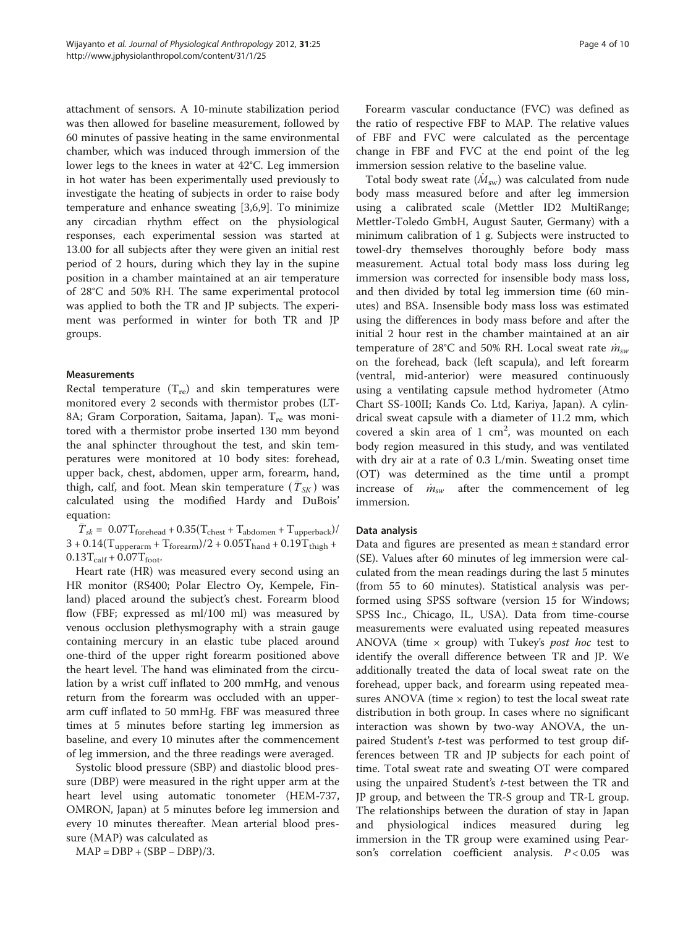attachment of sensors. A 10-minute stabilization period was then allowed for baseline measurement, followed by 60 minutes of passive heating in the same environmental chamber, which was induced through immersion of the lower legs to the knees in water at 42°C. Leg immersion in hot water has been experimentally used previously to investigate the heating of subjects in order to raise body temperature and enhance sweating [[3,6,9\]](#page-8-0). To minimize any circadian rhythm effect on the physiological responses, each experimental session was started at 13.00 for all subjects after they were given an initial rest period of 2 hours, during which they lay in the supine position in a chamber maintained at an air temperature of 28°C and 50% RH. The same experimental protocol was applied to both the TR and JP subjects. The experiment was performed in winter for both TR and JP groups.

## Measurements

Rectal temperature  $(T_{re})$  and skin temperatures were monitored every 2 seconds with thermistor probes (LT-8A; Gram Corporation, Saitama, Japan).  $T_{re}$  was monitored with a thermistor probe inserted 130 mm beyond the anal sphincter throughout the test, and skin temperatures were monitored at 10 body sites: forehead, upper back, chest, abdomen, upper arm, forearm, hand, thigh, calf, and foot. Mean skin temperature  $(T_{SK})$  was calculated using the modified Hardy and DuBois' equation:

 $\overline{T}_{sk} = 0.07T_{\text{forehead}} + 0.35(T_{\text{check}} + T_{\text{abdomen}} + T_{\text{upperback}})$  $3 + 0.14(T_{\text{upperarm}} + T_{\text{forearm}})/2 + 0.05T_{\text{hand}} + 0.19T_{\text{thigh}} +$  $0.13T_{\text{calf}} + 0.07T_{\text{foot}}$ .

Heart rate (HR) was measured every second using an HR monitor (RS400; Polar Electro Oy, Kempele, Finland) placed around the subject's chest. Forearm blood flow (FBF; expressed as ml/100 ml) was measured by venous occlusion plethysmography with a strain gauge containing mercury in an elastic tube placed around one-third of the upper right forearm positioned above the heart level. The hand was eliminated from the circulation by a wrist cuff inflated to 200 mmHg, and venous return from the forearm was occluded with an upperarm cuff inflated to 50 mmHg. FBF was measured three times at 5 minutes before starting leg immersion as baseline, and every 10 minutes after the commencement of leg immersion, and the three readings were averaged.

Systolic blood pressure (SBP) and diastolic blood pressure (DBP) were measured in the right upper arm at the heart level using automatic tonometer (HEM-737, OMRON, Japan) at 5 minutes before leg immersion and every 10 minutes thereafter. Mean arterial blood pressure (MAP) was calculated as

 $MAP = DBP + (SBP - DBP)/3.$ 

Forearm vascular conductance (FVC) was defined as the ratio of respective FBF to MAP. The relative values of FBF and FVC were calculated as the percentage change in FBF and FVC at the end point of the leg immersion session relative to the baseline value.

Total body sweat rate  $(M_{\rm sw})$  was calculated from nude body mass measured before and after leg immersion using a calibrated scale (Mettler ID2 MultiRange; Mettler-Toledo GmbH, August Sauter, Germany) with a minimum calibration of 1 g. Subjects were instructed to towel-dry themselves thoroughly before body mass measurement. Actual total body mass loss during leg immersion was corrected for insensible body mass loss, and then divided by total leg immersion time (60 minutes) and BSA. Insensible body mass loss was estimated using the differences in body mass before and after the initial 2 hour rest in the chamber maintained at an air temperature of 28°C and 50% RH. Local sweat rate  $\dot{m}_{sw}$ on the forehead, back (left scapula), and left forearm (ventral, mid-anterior) were measured continuously using a ventilating capsule method hydrometer (Atmo Chart SS-100II; Kands Co. Ltd, Kariya, Japan). A cylindrical sweat capsule with a diameter of 11.2 mm, which covered a skin area of  $1 \text{ cm}^2$ , was mounted on each body region measured in this study, and was ventilated with dry air at a rate of 0.3 L/min. Sweating onset time (OT) was determined as the time until a prompt increase of  $\dot{m}_{sw}$  after the commencement of leg immersion.

## Data analysis

Data and figures are presented as mean ± standard error (SE). Values after 60 minutes of leg immersion were calculated from the mean readings during the last 5 minutes (from 55 to 60 minutes). Statistical analysis was performed using SPSS software (version 15 for Windows; SPSS Inc., Chicago, IL, USA). Data from time-course measurements were evaluated using repeated measures ANOVA (time  $\times$  group) with Tukey's post hoc test to identify the overall difference between TR and JP. We additionally treated the data of local sweat rate on the forehead, upper back, and forearm using repeated measures ANOVA (time  $\times$  region) to test the local sweat rate distribution in both group. In cases where no significant interaction was shown by two-way ANOVA, the unpaired Student's *t*-test was performed to test group differences between TR and JP subjects for each point of time. Total sweat rate and sweating OT were compared using the unpaired Student's t-test between the TR and JP group, and between the TR-S group and TR-L group. The relationships between the duration of stay in Japan and physiological indices measured during leg immersion in the TR group were examined using Pearson's correlation coefficient analysis.  $P < 0.05$  was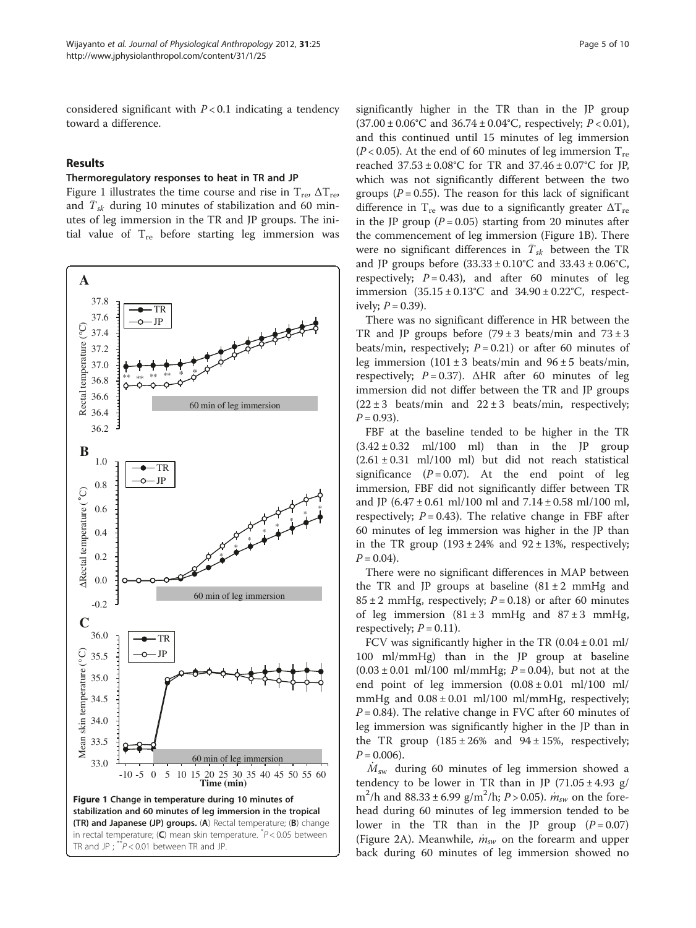considered significant with  $P < 0.1$  indicating a tendency toward a difference.

## Results

#### Thermoregulatory responses to heat in TR and JP

Figure 1 illustrates the time course and rise in  $T_{\text{re}}$ ,  $\Delta T_{\text{re}}$ , and  $\overline{T}_{sk}$  during 10 minutes of stabilization and 60 minutes of leg immersion in the TR and JP groups. The initial value of  $T_{\text{re}}$  before starting leg immersion was



significantly higher in the TR than in the JP group  $(37.00 \pm 0.06^{\circ} \text{C}$  and  $36.74 \pm 0.04^{\circ} \text{C}$ , respectively;  $P < 0.01$ ), and this continued until 15 minutes of leg immersion  $(P< 0.05)$ . At the end of 60 minutes of leg immersion T<sub>re</sub> reached 37.53 ± 0.08°C for TR and 37.46 ± 0.07°C for JP, which was not significantly different between the two groups ( $P = 0.55$ ). The reason for this lack of significant difference in T<sub>re</sub> was due to a significantly greater  $\Delta T_{\text{re}}$ in the JP group ( $P = 0.05$ ) starting from 20 minutes after the commencement of leg immersion (Figure 1B). There were no significant differences in  $\overline{T}_{sk}$  between the TR and JP groups before  $(33.33 \pm 0.10^{\circ}C \text{ and } 33.43 \pm 0.06^{\circ}C)$ , respectively;  $P = 0.43$ , and after 60 minutes of leg immersion  $(35.15 \pm 0.13^{\circ}C$  and  $34.90 \pm 0.22^{\circ}C$ , respectively;  $P = 0.39$ ).

There was no significant difference in HR between the TR and JP groups before  $(79 \pm 3 \text{ beats/min}$  and  $73 \pm 3 \text{ m}$ beats/min, respectively;  $P = 0.21$ ) or after 60 minutes of leg immersion  $(101 \pm 3 \text{ beats/min}$  and  $96 \pm 5 \text{ beats/min}$ , respectively;  $P = 0.37$ ).  $\triangle$ HR after 60 minutes of leg immersion did not differ between the TR and JP groups  $(22 \pm 3$  beats/min and  $22 \pm 3$  beats/min, respectively;  $P = 0.93$ ).

FBF at the baseline tended to be higher in the TR  $(3.42 \pm 0.32 \text{ ml}/100 \text{ ml})$  than in the JP group  $(2.61 \pm 0.31 \text{ ml}/100 \text{ ml})$  but did not reach statistical significance  $(P = 0.07)$ . At the end point of leg immersion, FBF did not significantly differ between TR and JP (6.47  $\pm$  0.61 ml/100 ml and 7.14  $\pm$  0.58 ml/100 ml, respectively;  $P = 0.43$ ). The relative change in FBF after 60 minutes of leg immersion was higher in the JP than in the TR group  $(193 \pm 24\%$  and  $92 \pm 13\%$ , respectively;  $P = 0.04$ ).

There were no significant differences in MAP between the TR and JP groups at baseline  $(81 \pm 2 \text{ mmHg}$  and  $85 \pm 2$  mmHg, respectively;  $P = 0.18$ ) or after 60 minutes of leg immersion  $(81 \pm 3 \text{ mmHg}$  and  $87 \pm 3 \text{ mmHg}$ , respectively;  $P = 0.11$ ).

FCV was significantly higher in the TR  $(0.04 \pm 0.01 \text{ ml})$ 100 ml/mmHg) than in the JP group at baseline  $(0.03 \pm 0.01 \text{ ml}/100 \text{ ml/mmHg}; P = 0.04)$ , but not at the end point of leg immersion  $(0.08 \pm 0.01 \text{ ml}/100 \text{ ml})$ mmHg and  $0.08 \pm 0.01$  ml/100 ml/mmHg, respectively;  $P = 0.84$ ). The relative change in FVC after 60 minutes of leg immersion was significantly higher in the JP than in the TR group  $(185 \pm 26\%$  and  $94 \pm 15\%$ , respectively;  $P = 0.006$ ).

 $M_{\rm sw}$  during 60 minutes of leg immersion showed a tendency to be lower in TR than in JP  $(71.05 \pm 4.93 \text{ g})$ m<sup>2</sup>/h and 88.33 ± 6.99 g/m<sup>2</sup>/h; *P* > 0.05).  $\dot{m}_{sw}$  on the forehead during 60 minutes of leg immersion tended to be lower in the TR than in the JP group  $(P=0.07)$ (Figure [2A](#page-5-0)). Meanwhile,  $\dot{m}_{sw}$  on the forearm and upper back during 60 minutes of leg immersion showed no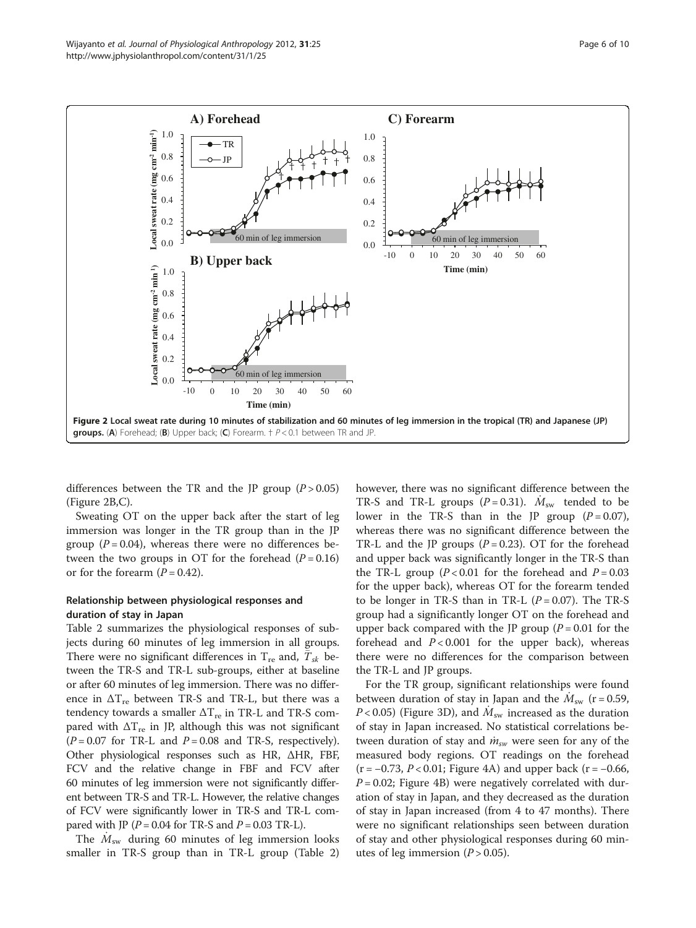<span id="page-5-0"></span>

differences between the TR and the JP group  $(P > 0.05)$ (Figure 2B,C).

Sweating OT on the upper back after the start of leg immersion was longer in the TR group than in the JP group ( $P = 0.04$ ), whereas there were no differences between the two groups in OT for the forehead  $(P = 0.16)$ or for the forearm  $(P = 0.42)$ .

## Relationship between physiological responses and duration of stay in Japan

Table [2](#page-6-0) summarizes the physiological responses of subjects during 60 minutes of leg immersion in all groups. There were no significant differences in  $T_{\text{re}}$  and,  $\bar{T}_{sk}$  between the TR-S and TR-L sub-groups, either at baseline or after 60 minutes of leg immersion. There was no difference in  $\Delta T_{\text{re}}$  between TR-S and TR-L, but there was a tendency towards a smaller  $\Delta T_{\text{re}}$  in TR-L and TR-S compared with  $\Delta T_{\text{re}}$  in JP, although this was not significant  $(P = 0.07$  for TR-L and  $P = 0.08$  and TR-S, respectively). Other physiological responses such as HR, ΔHR, FBF, FCV and the relative change in FBF and FCV after 60 minutes of leg immersion were not significantly different between TR-S and TR-L. However, the relative changes of FCV were significantly lower in TR-S and TR-L compared with JP ( $P = 0.04$  for TR-S and  $P = 0.03$  TR-L).

The  $M_{\rm sw}$  during 60 minutes of leg immersion looks smaller in TR-S group than in TR-L group (Table [2](#page-6-0))

however, there was no significant difference between the TR-S and TR-L groups ( $P = 0.31$ ).  $\dot{M}_{\text{sw}}$  tended to be lower in the TR-S than in the JP group  $(P = 0.07)$ , whereas there was no significant difference between the TR-L and the JP groups  $(P = 0.23)$ . OT for the forehead and upper back was significantly longer in the TR-S than the TR-L group ( $P < 0.01$  for the forehead and  $P = 0.03$ for the upper back), whereas OT for the forearm tended to be longer in TR-S than in TR-L  $(P = 0.07)$ . The TR-S group had a significantly longer OT on the forehead and upper back compared with the JP group  $(P = 0.01$  for the forehead and  $P < 0.001$  for the upper back), whereas there were no differences for the comparison between the TR-L and JP groups.

For the TR group, significant relationships were found between duration of stay in Japan and the  $M_{\rm sw}$  (r = 0.59,  $P < 0.05$ ) (Figure [3D](#page-7-0)), and  $M_{\rm sw}$  increased as the duration of stay in Japan increased. No statistical correlations between duration of stay and  $\dot{m}_{sw}$  were seen for any of the measured body regions. OT readings on the forehead  $(r = -0.73, P < 0.01;$  Figure [4A](#page-7-0)) and upper back  $(r = -0.66,$  $P = 0.02$ ; Figure [4B\)](#page-7-0) were negatively correlated with duration of stay in Japan, and they decreased as the duration of stay in Japan increased (from 4 to 47 months). There were no significant relationships seen between duration of stay and other physiological responses during 60 minutes of leg immersion ( $P > 0.05$ ).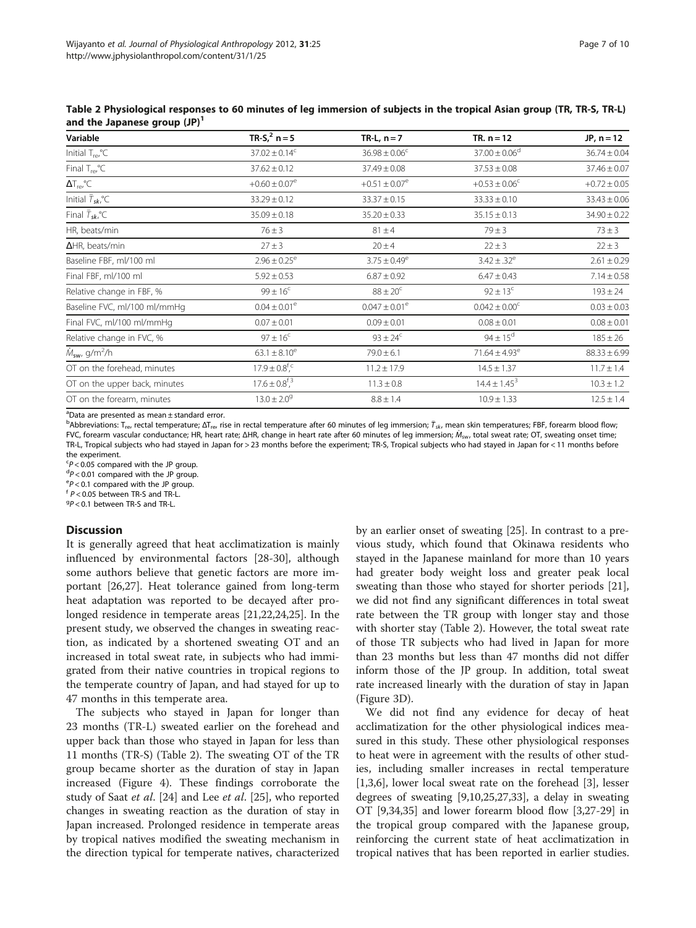| and the sapanese group (sr)               |                               |                               |                               |                  |  |  |
|-------------------------------------------|-------------------------------|-------------------------------|-------------------------------|------------------|--|--|
| Variable                                  | TR-S, $^{2}$ n = 5            | TR-L, $n = 7$                 | TR. $n = 12$                  | $JP, n = 12$     |  |  |
| Initial $T_{\text{re}}$ , $\textdegree$ C | $37.02 \pm 0.14^c$            | $36.98 \pm 0.06^{\circ}$      | $37.00 \pm 0.06^{\circ}$      | $36.74 \pm 0.04$ |  |  |
| Final $T_{\text{ref}}^{\text{o}}$ °C      | $37.62 \pm 0.12$              | $37.49 \pm 0.08$              | $37.53 \pm 0.08$              | $37.46 \pm 0.07$ |  |  |
| $\Delta T_{\text{re}}^{\circ}C$           | $+0.60 \pm 0.07$ <sup>e</sup> | $+0.51 \pm 0.07$ <sup>e</sup> | $+0.53 \pm 0.06^{\circ}$      | $+0.72 \pm 0.05$ |  |  |
| Initial $\overline{T}_{\textit{sk}}$ °C   | $33.29 \pm 0.12$              | $33.37 \pm 0.15$              | $33.33 \pm 0.10$              | $33.43 \pm 0.06$ |  |  |
| Final $\overline{T}_{\textit{sk}}$ °C     | $35.09 \pm 0.18$              | $35.20 \pm 0.33$              | $35.15 \pm 0.13$              | $34.90 \pm 0.22$ |  |  |
| HR, beats/min                             | $76 \pm 3$                    | $81 \pm 4$                    | $79 \pm 3$                    | $73 \pm 3$       |  |  |
| $\Delta$ HR, beats/min                    | $27 \pm 3$                    | $20 \pm 4$                    | $22 \pm 3$                    | $22 \pm 3$       |  |  |
| Baseline FBF, ml/100 ml                   | $2.96 \pm 0.25^e$             | $3.75 \pm 0.49^e$             | $3.42 \pm .32^e$              | $2.61 \pm 0.29$  |  |  |
| Final FBF, ml/100 ml                      | $5.92 \pm 0.53$               | $6.87 \pm 0.92$               | $6.47 \pm 0.43$               | $7.14 \pm 0.58$  |  |  |
| Relative change in FBF, %                 | $99 \pm 16^{\circ}$           | $88 \pm 20^{\circ}$           | $92 \pm 13^{\circ}$           | $193 \pm 24$     |  |  |
| Baseline FVC, ml/100 ml/mmHg              | $0.04 \pm 0.01^e$             | $0.047 \pm 0.01^e$            | $0.042 \pm 0.00^{\circ}$      | $0.03 \pm 0.03$  |  |  |
| Final FVC, ml/100 ml/mmHg                 | $0.07 \pm 0.01$               | $0.09 \pm 0.01$               | $0.08 \pm 0.01$               | $0.08 \pm 0.01$  |  |  |
| Relative change in FVC, %                 | $97 \pm 16^{\circ}$           | $93 \pm 24^{\circ}$           | $94 \pm 15^{\circ}$           | $185 \pm 26$     |  |  |
| $M_{\rm sw}$ , g/m <sup>2</sup> /h        | 63.1 $\pm$ 8.10 <sup>e</sup>  | $79.0 \pm 6.1$                | 71.64 $\pm$ 4.93 <sup>e</sup> | $88.33 \pm 6.99$ |  |  |
| OT on the forehead, minutes               | $17.9 \pm 0.8^{f_C}$          | $11.2 \pm 17.9$               | $14.5 \pm 1.37$               | $11.7 \pm 1.4$   |  |  |
| OT on the upper back, minutes             | $17.6 \pm 0.8^{f}$ ,          | $11.3 \pm 0.8$                | $14.4 \pm 1.45^{3}$           | $10.3 \pm 1.2$   |  |  |
| OT on the forearm, minutes                | $13.0 \pm 2.0$ <sup>9</sup>   | $8.8 \pm 1.4$                 | $10.9 \pm 1.33$               | $12.5 \pm 1.4$   |  |  |

<span id="page-6-0"></span>Table 2 Physiological responses to 60 minutes of leg immersion of subjects in the tropical Asian group (TR, TR-S, TR-L) and the Japanese group (JD)<sup>1</sup>

a Data are presented as mean ± standard error.

b Abbreviations: T<sub>re</sub>, rectal temperature; ΔT<sub>re</sub>, rise in rectal temperature after 60 minutes of leg immersion; Τ<sub>sk</sub>, mean skin temperatures; FBF, forearm blood flow;<br>FVC forearm vascular conductance: HB, heart rate: FVC, forearm vascular conductance; HR, heart rate; ΔHR, change in heart rate after 60 minutes of leg immersion;  $M_{\text{sw}}$ , total sweat rate; OT, sweating onset time; TR-L, Tropical subjects who had stayed in Japan for > 23 months before the experiment; TR-S, Tropical subjects who had stayed in Japan for < 11 months before the experiment.

 $\epsilon$ P < 0.05 compared with the JP group.  ${}^{\mathsf{C}}\mathsf{P}$ <0.05 compared with the JP group.<br> ${}^{\mathsf{d}}\mathsf{P}$ <0.01 compared with the JP group.

<sup>a</sup>P<0.01 compared with the JP group.<br><sup>e</sup>P<0.1 compared with the JP group.

 $\mathrm{P}$  < 0.1 compared with the JP group.

 $f$   $P$  < 0.05 between TR-S and TR-L.

 $P$  < 0.1 between TR-S and TR-L.

## Discussion

It is generally agreed that heat acclimatization is mainly influenced by environmental factors [[28](#page-9-0)-[30\]](#page-9-0), although some authors believe that genetic factors are more important [[26,27\]](#page-9-0). Heat tolerance gained from long-term heat adaptation was reported to be decayed after prolonged residence in temperate areas [\[21,22,24,25](#page-9-0)]. In the present study, we observed the changes in sweating reaction, as indicated by a shortened sweating OT and an increased in total sweat rate, in subjects who had immigrated from their native countries in tropical regions to the temperate country of Japan, and had stayed for up to 47 months in this temperate area.

The subjects who stayed in Japan for longer than 23 months (TR-L) sweated earlier on the forehead and upper back than those who stayed in Japan for less than 11 months (TR-S) (Table 2). The sweating OT of the TR group became shorter as the duration of stay in Japan increased (Figure [4\)](#page-7-0). These findings corroborate the study of Saat *et al.* [\[24](#page-9-0)] and Lee *et al.* [\[25](#page-9-0)], who reported changes in sweating reaction as the duration of stay in Japan increased. Prolonged residence in temperate areas by tropical natives modified the sweating mechanism in the direction typical for temperate natives, characterized by an earlier onset of sweating [[25](#page-9-0)]. In contrast to a previous study, which found that Okinawa residents who stayed in the Japanese mainland for more than 10 years had greater body weight loss and greater peak local sweating than those who stayed for shorter periods [\[21](#page-9-0)], we did not find any significant differences in total sweat rate between the TR group with longer stay and those with shorter stay (Table 2). However, the total sweat rate of those TR subjects who had lived in Japan for more than 23 months but less than 47 months did not differ inform those of the JP group. In addition, total sweat rate increased linearly with the duration of stay in Japan (Figure [3D\)](#page-7-0).

We did not find any evidence for decay of heat acclimatization for the other physiological indices measured in this study. These other physiological responses to heat were in agreement with the results of other studies, including smaller increases in rectal temperature [[1,3,6\]](#page-8-0), lower local sweat rate on the forehead [\[3](#page-8-0)], lesser degrees of sweating [[9,10,](#page-8-0)[25](#page-9-0),[27](#page-9-0),[33](#page-9-0)], a delay in sweating OT [[9,](#page-8-0)[34,35\]](#page-9-0) and lower forearm blood flow [[3](#page-8-0),[27](#page-9-0)-[29\]](#page-9-0) in the tropical group compared with the Japanese group, reinforcing the current state of heat acclimatization in tropical natives that has been reported in earlier studies.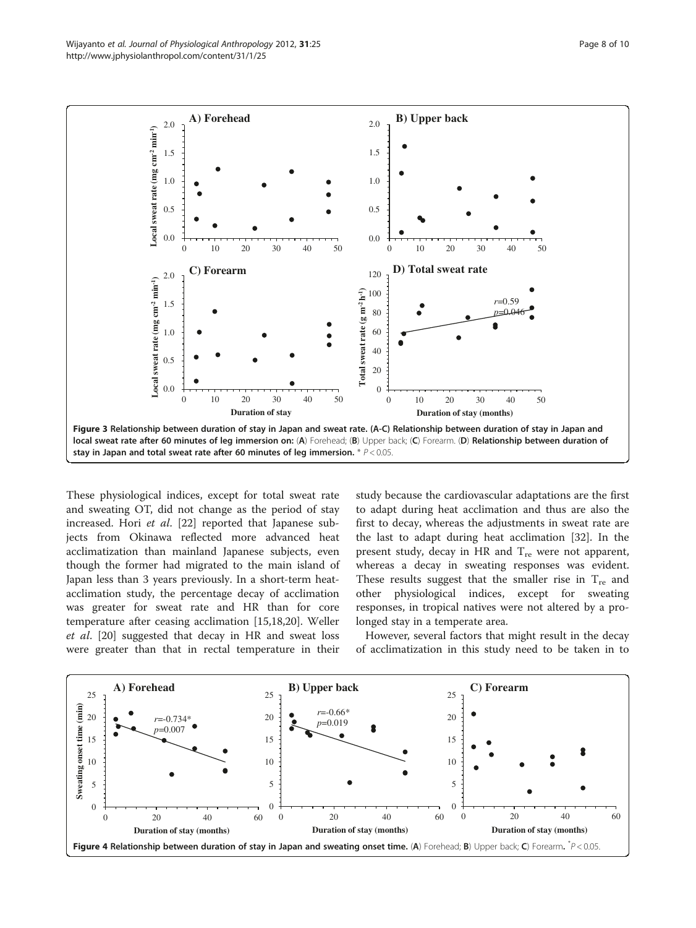<span id="page-7-0"></span>

These physiological indices, except for total sweat rate and sweating OT, did not change as the period of stay increased. Hori et al. [\[22](#page-9-0)] reported that Japanese subjects from Okinawa reflected more advanced heat acclimatization than mainland Japanese subjects, even though the former had migrated to the main island of Japan less than 3 years previously. In a short-term heatacclimation study, the percentage decay of acclimation was greater for sweat rate and HR than for core temperature after ceasing acclimation [\[15,18,20\]](#page-9-0). Weller et al. [[20\]](#page-9-0) suggested that decay in HR and sweat loss were greater than that in rectal temperature in their study because the cardiovascular adaptations are the first to adapt during heat acclimation and thus are also the first to decay, whereas the adjustments in sweat rate are the last to adapt during heat acclimation [[32\]](#page-9-0). In the present study, decay in HR and  $T_{re}$  were not apparent, whereas a decay in sweating responses was evident. These results suggest that the smaller rise in  $T_{re}$  and other physiological indices, except for sweating responses, in tropical natives were not altered by a prolonged stay in a temperate area.

However, several factors that might result in the decay of acclimatization in this study need to be taken in to

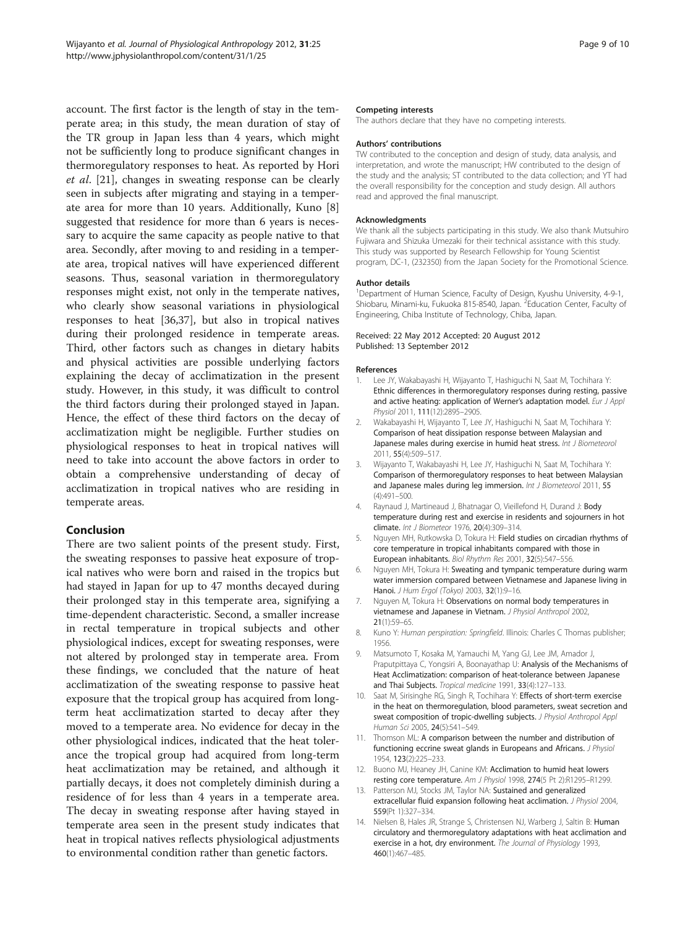<span id="page-8-0"></span>account. The first factor is the length of stay in the temperate area; in this study, the mean duration of stay of the TR group in Japan less than 4 years, which might not be sufficiently long to produce significant changes in thermoregulatory responses to heat. As reported by Hori et al. [\[21](#page-9-0)], changes in sweating response can be clearly seen in subjects after migrating and staying in a temperate area for more than 10 years. Additionally, Kuno [8] suggested that residence for more than 6 years is necessary to acquire the same capacity as people native to that area. Secondly, after moving to and residing in a temperate area, tropical natives will have experienced different seasons. Thus, seasonal variation in thermoregulatory responses might exist, not only in the temperate natives, who clearly show seasonal variations in physiological responses to heat [[36](#page-9-0),[37](#page-9-0)], but also in tropical natives during their prolonged residence in temperate areas. Third, other factors such as changes in dietary habits and physical activities are possible underlying factors explaining the decay of acclimatization in the present study. However, in this study, it was difficult to control the third factors during their prolonged stayed in Japan. Hence, the effect of these third factors on the decay of acclimatization might be negligible. Further studies on physiological responses to heat in tropical natives will need to take into account the above factors in order to obtain a comprehensive understanding of decay of acclimatization in tropical natives who are residing in temperate areas.

## Conclusion

There are two salient points of the present study. First, the sweating responses to passive heat exposure of tropical natives who were born and raised in the tropics but had stayed in Japan for up to 47 months decayed during their prolonged stay in this temperate area, signifying a time-dependent characteristic. Second, a smaller increase in rectal temperature in tropical subjects and other physiological indices, except for sweating responses, were not altered by prolonged stay in temperate area. From these findings, we concluded that the nature of heat acclimatization of the sweating response to passive heat exposure that the tropical group has acquired from longterm heat acclimatization started to decay after they moved to a temperate area. No evidence for decay in the other physiological indices, indicated that the heat tolerance the tropical group had acquired from long-term heat acclimatization may be retained, and although it partially decays, it does not completely diminish during a residence of for less than 4 years in a temperate area. The decay in sweating response after having stayed in temperate area seen in the present study indicates that heat in tropical natives reflects physiological adjustments to environmental condition rather than genetic factors.

#### Competing interests

The authors declare that they have no competing interests.

#### Authors' contributions

TW contributed to the conception and design of study, data analysis, and interpretation, and wrote the manuscript; HW contributed to the design of the study and the analysis; ST contributed to the data collection; and YT had the overall responsibility for the conception and study design. All authors read and approved the final manuscript.

#### Acknowledgments

We thank all the subjects participating in this study. We also thank Mutsuhiro Fujiwara and Shizuka Umezaki for their technical assistance with this study. This study was supported by Research Fellowship for Young Scientist program, DC-1, (232350) from the Japan Society for the Promotional Science.

#### Author details

<sup>1</sup>Department of Human Science, Faculty of Design, Kyushu University, 4-9-1, Shiobaru, Minami-ku, Fukuoka 815-8540, Japan. <sup>2</sup>Education Center, Faculty of Engineering, Chiba Institute of Technology, Chiba, Japan.

#### Received: 22 May 2012 Accepted: 20 August 2012 Published: 13 September 2012

#### References

- 1. Lee JY, Wakabayashi H, Wijayanto T, Hashiguchi N, Saat M, Tochihara Y: Ethnic differences in thermoregulatory responses during resting, passive and active heating: application of Werner's adaptation model. Eur J Appl Physiol 2011, 111(12):2895–2905.
- 2. Wakabayashi H, Wijayanto T, Lee JY, Hashiguchi N, Saat M, Tochihara Y: Comparison of heat dissipation response between Malaysian and Japanese males during exercise in humid heat stress. Int J Biometeorol 2011, 55(4):509–517.
- 3. Wijayanto T, Wakabayashi H, Lee JY, Hashiguchi N, Saat M, Tochihara Y: Comparison of thermoregulatory responses to heat between Malaysian and Japanese males during leg immersion. Int J Biometeorol 2011, 55 (4):491–500.
- 4. Raynaud J, Martineaud J, Bhatnagar O, Vieillefond H, Durand J: Body temperature during rest and exercise in residents and sojourners in hot climate. Int J Biometeor 1976, 20(4):309–314.
- Nguyen MH, Rutkowska D, Tokura H: Field studies on circadian rhythms of core temperature in tropical inhabitants compared with those in European inhabitants. Biol Rhythm Res 2001, 32(5):547–556.
- 6. Nguyen MH, Tokura H: Sweating and tympanic temperature during warm water immersion compared between Vietnamese and Japanese living in Hanoi. J Hum Ergol (Tokyo) 2003, 32(1):9–16.
- 7. Nguyen M, Tokura H: Observations on normal body temperatures in vietnamese and Japanese in Vietnam. J Physiol Anthropol 2002, 21(1):59–65.
- 8. Kuno Y: Human perspiration: Springfield. Illinois: Charles C Thomas publisher; 1956.
- 9. Matsumoto T, Kosaka M, Yamauchi M, Yang GJ, Lee JM, Amador J, Praputpittaya C, Yongsiri A, Boonayathap U: Analysis of the Mechanisms of Heat Acclimatization: comparison of heat-tolerance between Japanese and Thai Subjects. Tropical medicine 1991, 33(4):127–133.
- 10. Saat M, Sirisinghe RG, Singh R, Tochihara Y: Effects of short-term exercise in the heat on thermoregulation, blood parameters, sweat secretion and sweat composition of tropic-dwelling subjects. J Physiol Anthropol Appl Human Sci 2005, 24(5):541–549.
- 11. Thomson ML: A comparison between the number and distribution of functioning eccrine sweat glands in Europeans and Africans. J Physiol 1954, 123(2):225–233.
- 12. Buono MJ, Heaney JH, Canine KM: Acclimation to humid heat lowers resting core temperature. Am J Physiol 1998, 274(5 Pt 2):R1295–R1299.
- 13. Patterson MJ, Stocks JM, Taylor NA: Sustained and generalized extracellular fluid expansion following heat acclimation. J Physiol 2004, 559(Pt 1):327–334.
- 14. Nielsen B, Hales JR, Strange S, Christensen NJ, Warberg J, Saltin B: Human circulatory and thermoregulatory adaptations with heat acclimation and exercise in a hot, dry environment. The Journal of Physiology 1993, 460(1):467–485.